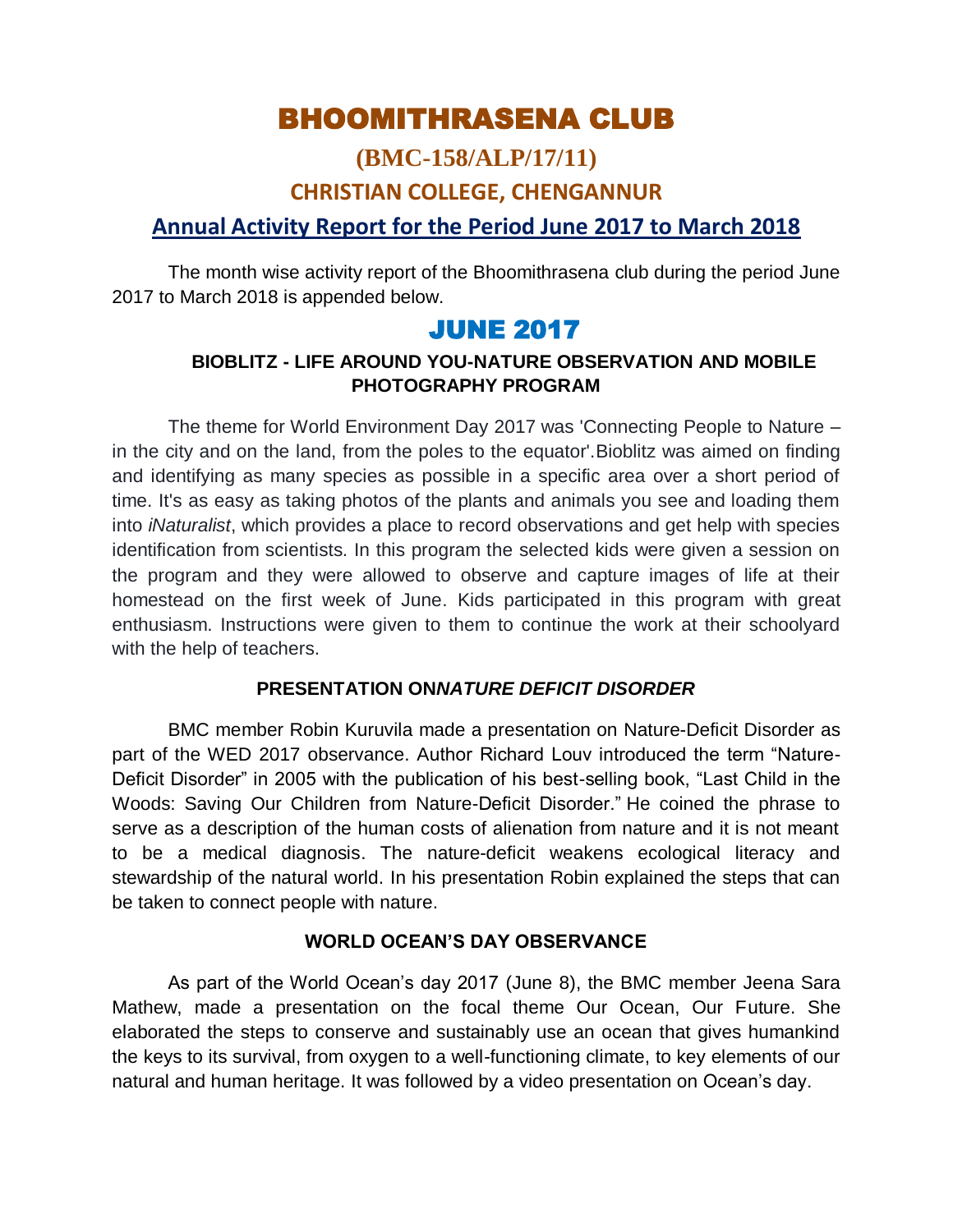# BHOOMITHRASENA CLUB

# **(BMC-158/ALP/17/11) CHRISTIAN COLLEGE, CHENGANNUR**

### **Annual Activity Report for the Period June 2017 to March 2018**

The month wise activity report of the Bhoomithrasena club during the period June 2017 to March 2018 is appended below.

# JUNE 2017

### **BIOBLITZ - LIFE AROUND YOU-NATURE OBSERVATION AND MOBILE PHOTOGRAPHY PROGRAM**

The theme for World Environment Day 2017 was 'Connecting People to Nature – in the city and on the land, from the poles to the equator'.Bioblitz was aimed on finding and identifying as many species as possible in a specific area over a short period of time. It's as easy as taking photos of the plants and animals you see and loading them into *iNaturalist*, which provides a place to record observations and get help with species identification from scientists. In this program the selected kids were given a session on the program and they were allowed to observe and capture images of life at their homestead on the first week of June. Kids participated in this program with great enthusiasm. Instructions were given to them to continue the work at their schoolyard with the help of teachers.

### **PRESENTATION ON***NATURE DEFICIT DISORDER*

BMC member Robin Kuruvila made a presentation on Nature-Deficit Disorder as part of the WED 2017 observance. Author Richard Louv introduced the term "Nature-Deficit Disorder" in 2005 with the publication of his best-selling book, "Last Child in the Woods: Saving Our Children from Nature-Deficit Disorder." He coined the phrase to serve as a description of the human costs of alienation from nature and it is not meant to be a medical diagnosis. The nature-deficit weakens ecological literacy and stewardship of the natural world. In his presentation Robin explained the steps that can be taken to connect people with nature.

### **WORLD OCEAN'S DAY OBSERVANCE**

As part of the World Ocean's day 2017 (June 8), the BMC member Jeena Sara Mathew, made a presentation on the focal theme Our Ocean, Our Future. She elaborated the steps to conserve and sustainably use an ocean that gives humankind the keys to its survival, from oxygen to a well-functioning climate, to key elements of our natural and human heritage. It was followed by a video presentation on Ocean"s day.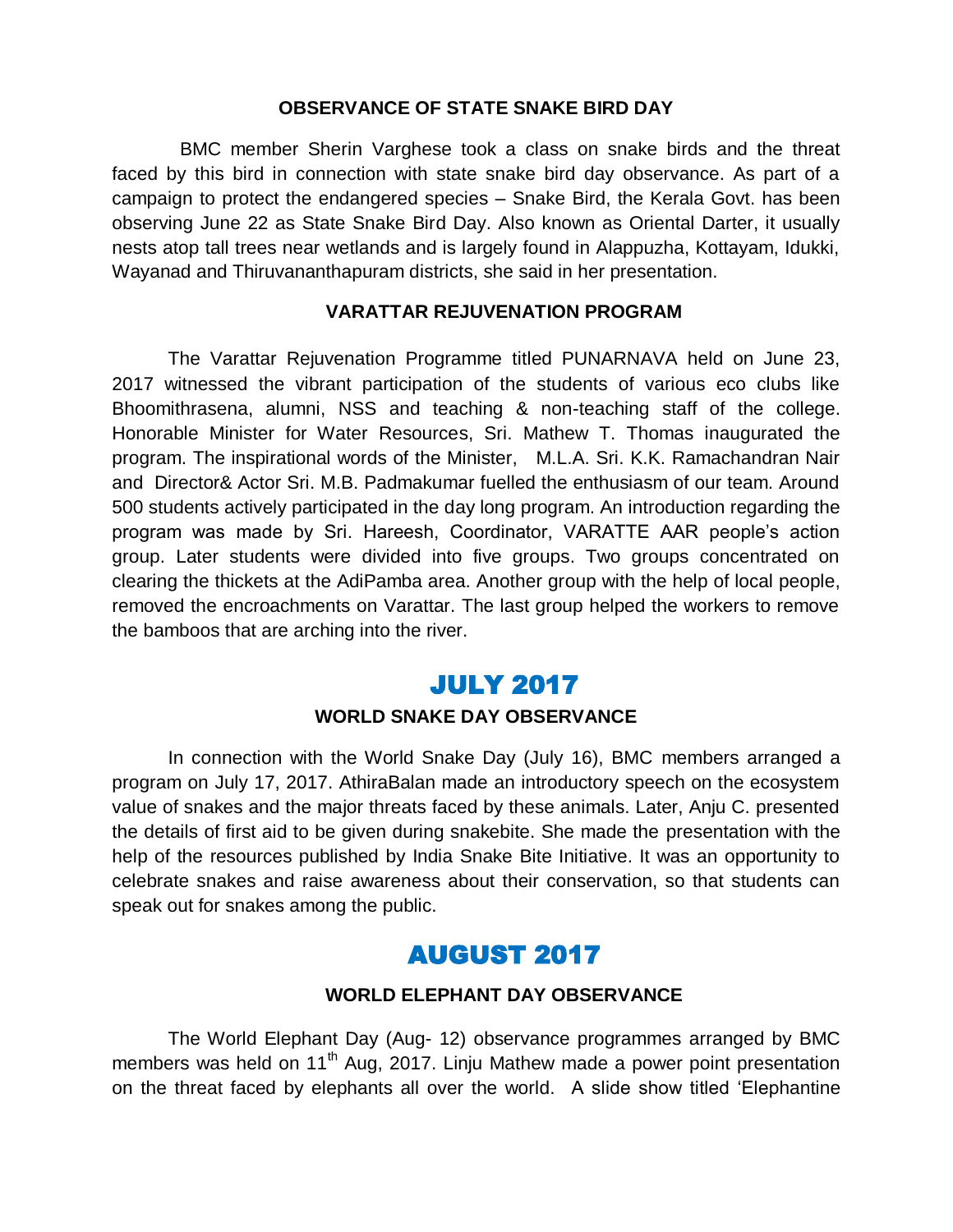#### **OBSERVANCE OF STATE SNAKE BIRD DAY**

 BMC member Sherin Varghese took a class on snake birds and the threat faced by this bird in connection with state snake bird day observance. As part of a campaign to protect the endangered species – Snake Bird, the Kerala Govt. has been observing June 22 as State Snake Bird Day. Also known as Oriental Darter, it usually nests atop tall trees near wetlands and is largely found in Alappuzha, Kottayam, Idukki, Wayanad and Thiruvananthapuram districts, she said in her presentation.

#### **VARATTAR REJUVENATION PROGRAM**

The Varattar Rejuvenation Programme titled PUNARNAVA held on June 23, 2017 witnessed the vibrant participation of the students of various eco clubs like Bhoomithrasena, alumni, NSS and teaching & non-teaching staff of the college. Honorable Minister for Water Resources, Sri. Mathew T. Thomas inaugurated the program. The inspirational words of the Minister, M.L.A. Sri. K.K. Ramachandran Nair and Director& Actor Sri. M.B. Padmakumar fuelled the enthusiasm of our team. Around 500 students actively participated in the day long program. An introduction regarding the program was made by Sri. Hareesh, Coordinator, VARATTE AAR people"s action group. Later students were divided into five groups. Two groups concentrated on clearing the thickets at the AdiPamba area. Another group with the help of local people, removed the encroachments on Varattar. The last group helped the workers to remove the bamboos that are arching into the river.

### JULY 2017

#### **WORLD SNAKE DAY OBSERVANCE**

In connection with the World Snake Day (July 16), BMC members arranged a program on July 17, 2017. AthiraBalan made an introductory speech on the ecosystem value of snakes and the major threats faced by these animals. Later, Anju C. presented the details of first aid to be given during snakebite. She made the presentation with the help of the resources published by India Snake Bite Initiative. It was an opportunity to celebrate snakes and raise awareness about their conservation, so that students can speak out for snakes among the public.

## AUGUST 2017

#### **WORLD ELEPHANT DAY OBSERVANCE**

The World Elephant Day (Aug- 12) observance programmes arranged by BMC members was held on  $11<sup>th</sup>$  Aug, 2017. Linju Mathew made a power point presentation on the threat faced by elephants all over the world. A slide show titled "Elephantine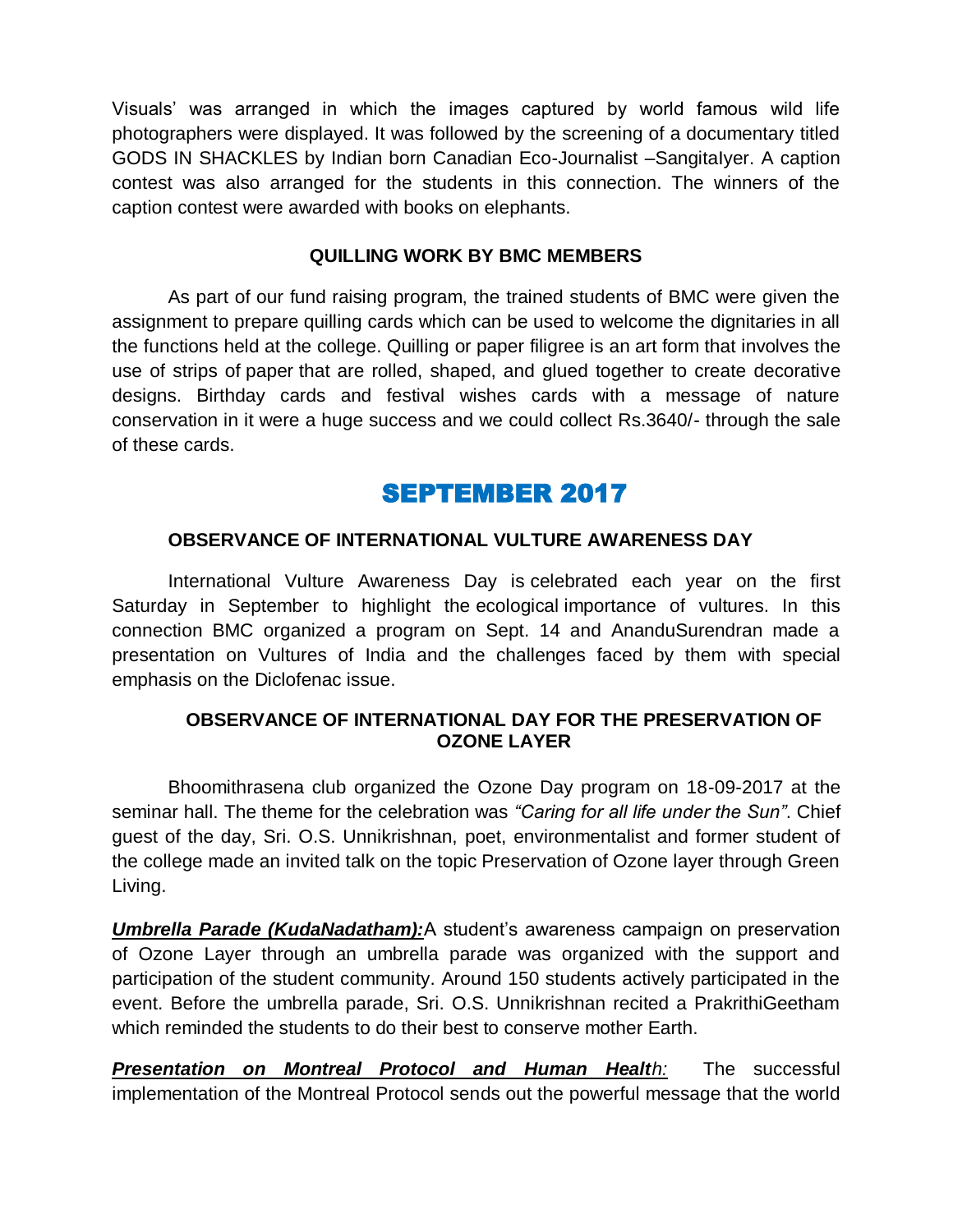Visuals" was arranged in which the images captured by world famous wild life photographers were displayed. It was followed by the screening of a documentary titled GODS IN SHACKLES by Indian born Canadian Eco-Journalist –SangitaIyer. A caption contest was also arranged for the students in this connection. The winners of the caption contest were awarded with books on elephants.

#### **QUILLING WORK BY BMC MEMBERS**

As part of our fund raising program, the trained students of BMC were given the assignment to prepare quilling cards which can be used to welcome the dignitaries in all the functions held at the college. Quilling or paper filigree is an art form that involves the use of strips of paper that are rolled, shaped, and glued together to create decorative designs. Birthday cards and festival wishes cards with a message of nature conservation in it were a huge success and we could collect Rs.3640/- through the sale of these cards.

# SEPTEMBER 2017

#### **OBSERVANCE OF INTERNATIONAL VULTURE AWARENESS DAY**

International Vulture Awareness Day is celebrated each year on the first Saturday in September to highlight the ecological importance of vultures. In this connection BMC organized a program on Sept. 14 and AnanduSurendran made a presentation on Vultures of India and the challenges faced by them with special emphasis on the Diclofenac issue.

#### **OBSERVANCE OF INTERNATIONAL DAY FOR THE PRESERVATION OF OZONE LAYER**

Bhoomithrasena club organized the Ozone Day program on 18-09-2017 at the seminar hall. The theme for the celebration was *"Caring for all life under the Sun"*. Chief guest of the day, Sri. O.S. Unnikrishnan, poet, environmentalist and former student of the college made an invited talk on the topic Preservation of Ozone layer through Green Living.

*Umbrella Parade (KudaNadatham):***A** student's awareness campaign on preservation of Ozone Layer through an umbrella parade was organized with the support and participation of the student community. Around 150 students actively participated in the event. Before the umbrella parade, Sri. O.S. Unnikrishnan recited a PrakrithiGeetham which reminded the students to do their best to conserve mother Earth.

*Presentation on Montreal Protocol and Human Health:* The successful implementation of the Montreal Protocol sends out the powerful message that the world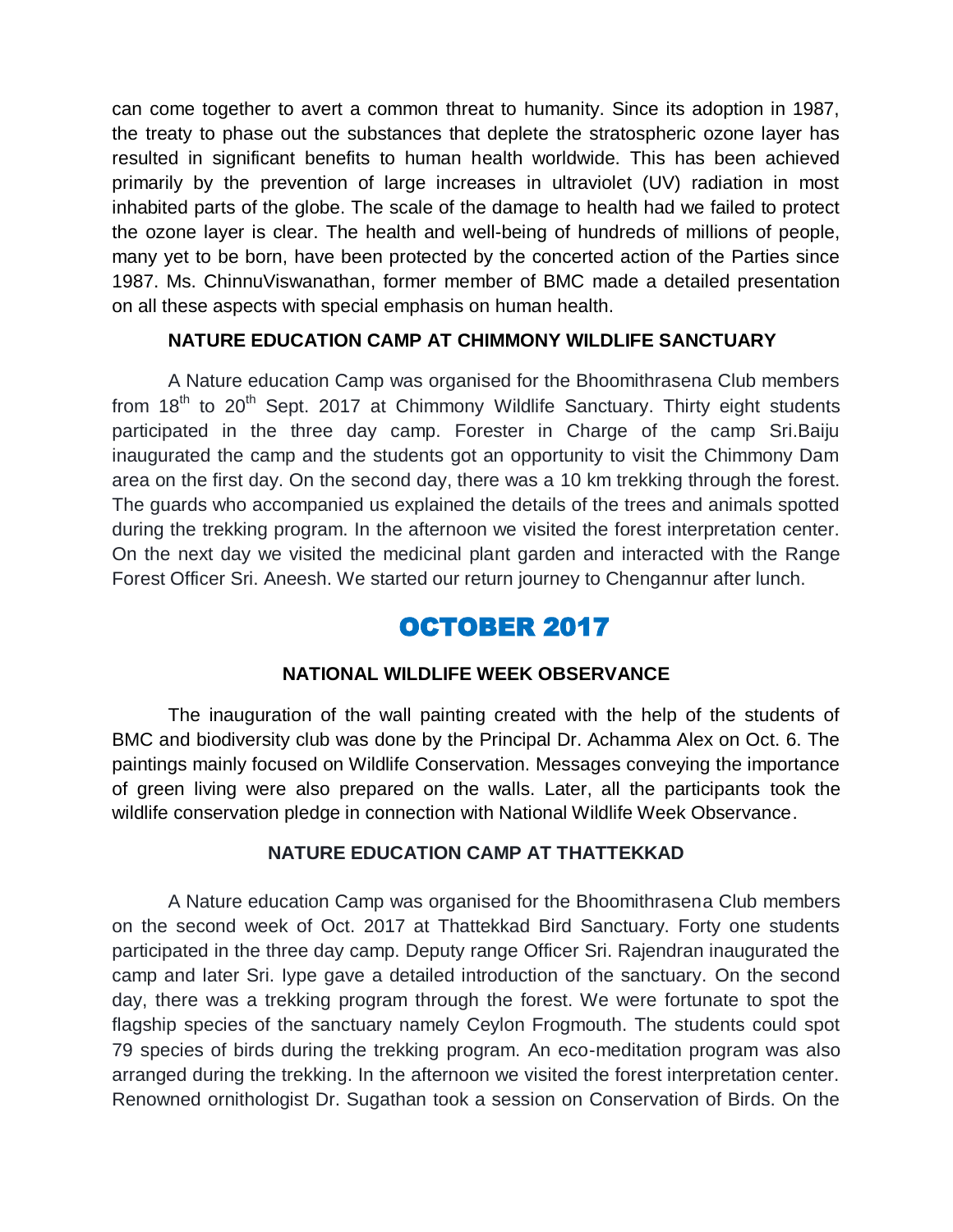can come together to avert a common threat to humanity. Since its adoption in 1987, the treaty to phase out the substances that deplete the stratospheric ozone layer has resulted in significant benefits to human health worldwide. This has been achieved primarily by the prevention of large increases in ultraviolet (UV) radiation in most inhabited parts of the globe. The scale of the damage to health had we failed to protect the ozone layer is clear. The health and well-being of hundreds of millions of people, many yet to be born, have been protected by the concerted action of the Parties since 1987. Ms. ChinnuViswanathan, former member of BMC made a detailed presentation on all these aspects with special emphasis on human health.

#### **NATURE EDUCATION CAMP AT CHIMMONY WILDLIFE SANCTUARY**

A Nature education Camp was organised for the Bhoomithrasena Club members from  $18<sup>th</sup>$  to  $20<sup>th</sup>$  Sept. 2017 at Chimmony Wildlife Sanctuary. Thirty eight students participated in the three day camp. Forester in Charge of the camp Sri.Baiju inaugurated the camp and the students got an opportunity to visit the Chimmony Dam area on the first day. On the second day, there was a 10 km trekking through the forest. The guards who accompanied us explained the details of the trees and animals spotted during the trekking program. In the afternoon we visited the forest interpretation center. On the next day we visited the medicinal plant garden and interacted with the Range Forest Officer Sri. Aneesh. We started our return journey to Chengannur after lunch.

# OCTOBER 2017

#### **NATIONAL WILDLIFE WEEK OBSERVANCE**

The inauguration of the wall painting created with the help of the students of BMC and biodiversity club was done by the Principal Dr. Achamma Alex on Oct. 6. The paintings mainly focused on Wildlife Conservation. Messages conveying the importance of green living were also prepared on the walls. Later, all the participants took the wildlife conservation pledge in connection with National Wildlife Week Observance.

#### **NATURE EDUCATION CAMP AT THATTEKKAD**

A Nature education Camp was organised for the Bhoomithrasena Club members on the second week of Oct. 2017 at Thattekkad Bird Sanctuary. Forty one students participated in the three day camp. Deputy range Officer Sri. Rajendran inaugurated the camp and later Sri. Iype gave a detailed introduction of the sanctuary. On the second day, there was a trekking program through the forest. We were fortunate to spot the flagship species of the sanctuary namely Ceylon Frogmouth. The students could spot 79 species of birds during the trekking program. An eco-meditation program was also arranged during the trekking. In the afternoon we visited the forest interpretation center. Renowned ornithologist Dr. Sugathan took a session on Conservation of Birds. On the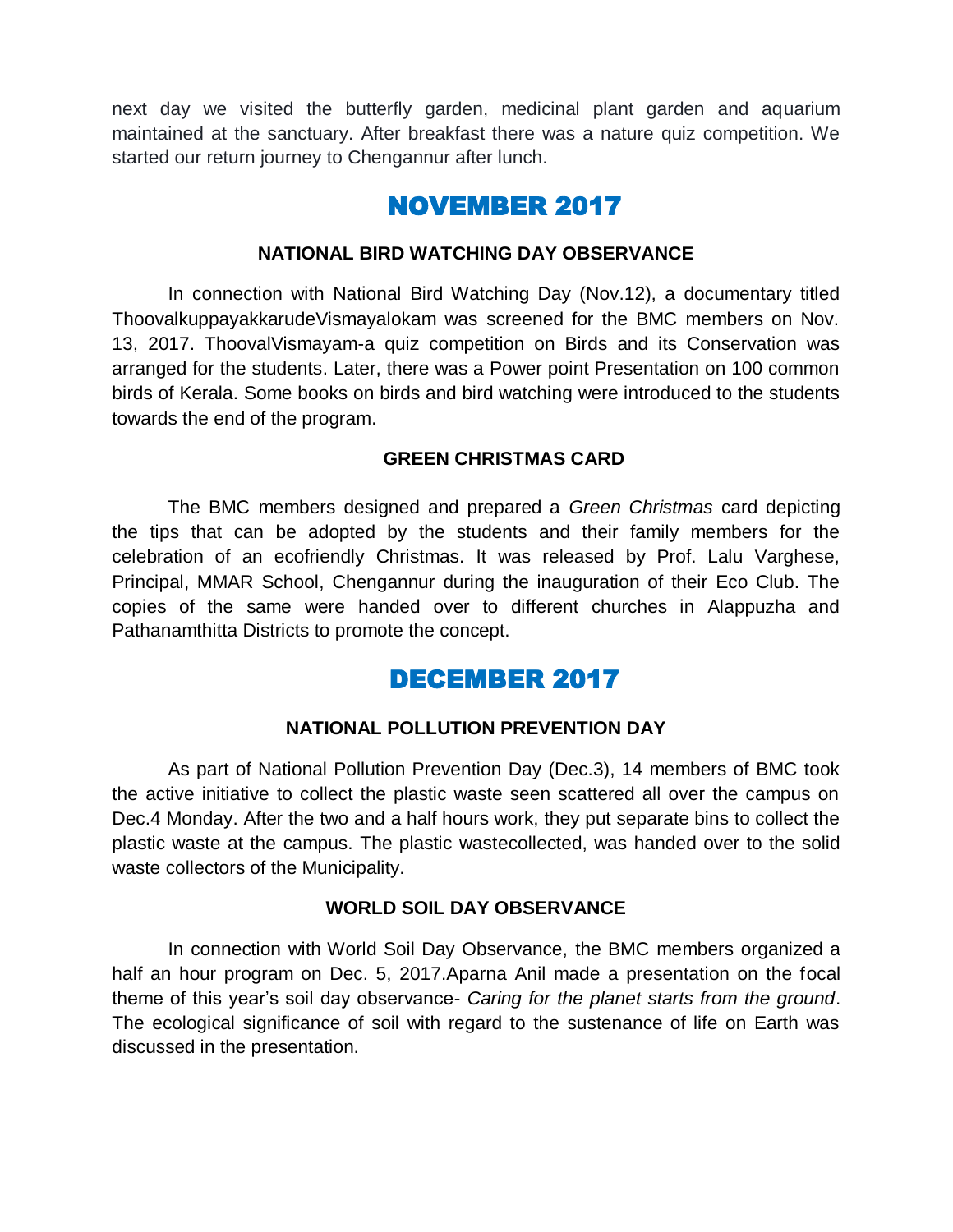next day we visited the butterfly garden, medicinal plant garden and aquarium maintained at the sanctuary. After breakfast there was a nature quiz competition. We started our return journey to Chengannur after lunch.

# NOVEMBER 2017

#### **NATIONAL BIRD WATCHING DAY OBSERVANCE**

In connection with National Bird Watching Day (Nov.12), a documentary titled ThoovalkuppayakkarudeVismayalokam was screened for the BMC members on Nov. 13, 2017. ThoovalVismayam-a quiz competition on Birds and its Conservation was arranged for the students. Later, there was a Power point Presentation on 100 common birds of Kerala. Some books on birds and bird watching were introduced to the students towards the end of the program.

#### **GREEN CHRISTMAS CARD**

The BMC members designed and prepared a *Green Christmas* card depicting the tips that can be adopted by the students and their family members for the celebration of an ecofriendly Christmas. It was released by Prof. Lalu Varghese, Principal, MMAR School, Chengannur during the inauguration of their Eco Club. The copies of the same were handed over to different churches in Alappuzha and Pathanamthitta Districts to promote the concept.

## DECEMBER 2017

#### **NATIONAL POLLUTION PREVENTION DAY**

As part of National Pollution Prevention Day (Dec.3), 14 members of BMC took the active initiative to collect the plastic waste seen scattered all over the campus on Dec.4 Monday. After the two and a half hours work, they put separate bins to collect the plastic waste at the campus. The plastic wastecollected, was handed over to the solid waste collectors of the Municipality.

#### **WORLD SOIL DAY OBSERVANCE**

In connection with World Soil Day Observance, the BMC members organized a half an hour program on Dec. 5, 2017. Aparna Anil made a presentation on the focal theme of this year"s soil day observance- *Caring for the planet starts from the ground*. The ecological significance of soil with regard to the sustenance of life on Earth was discussed in the presentation.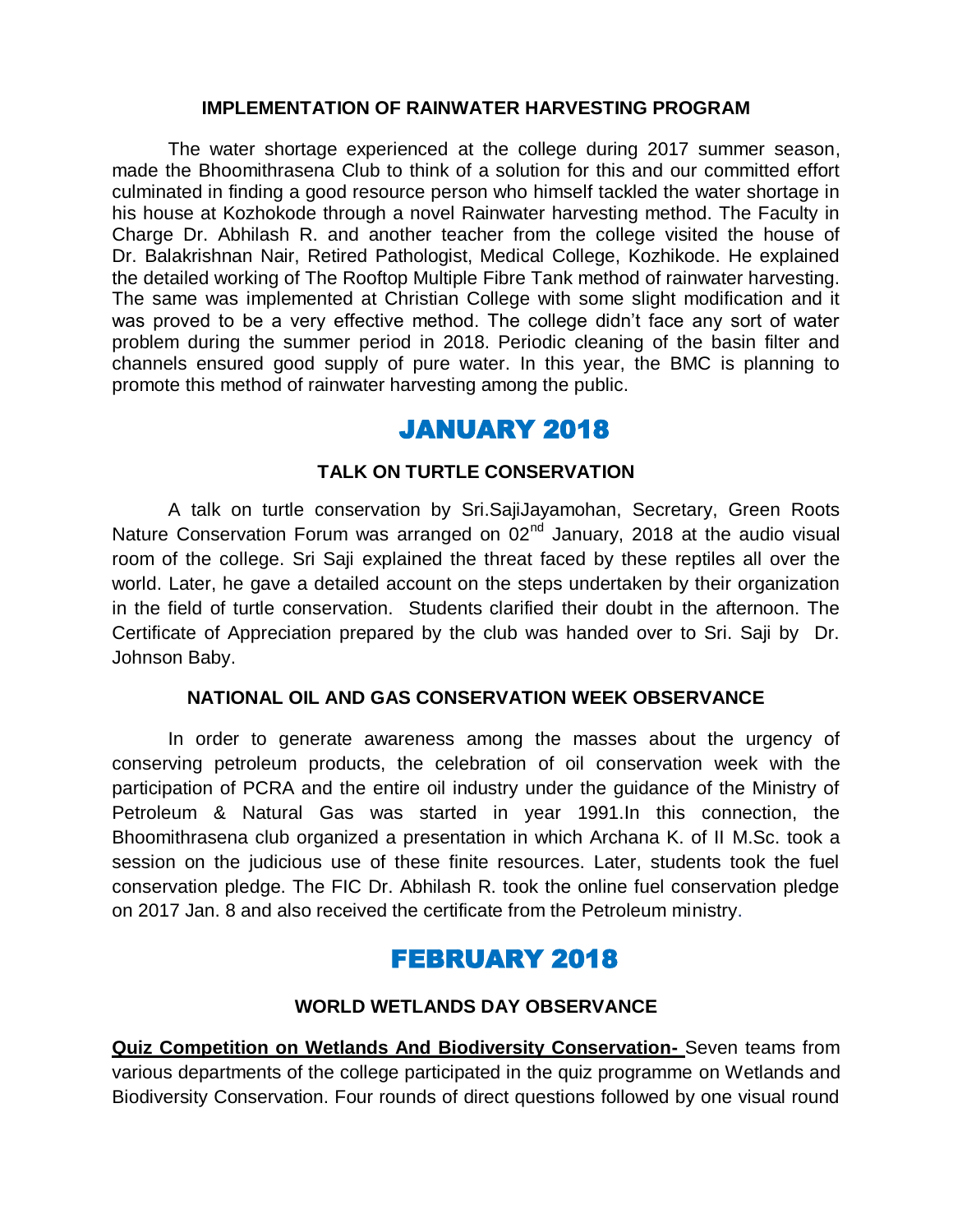#### **IMPLEMENTATION OF RAINWATER HARVESTING PROGRAM**

The water shortage experienced at the college during 2017 summer season, made the Bhoomithrasena Club to think of a solution for this and our committed effort culminated in finding a good resource person who himself tackled the water shortage in his house at Kozhokode through a novel Rainwater harvesting method. The Faculty in Charge Dr. Abhilash R. and another teacher from the college visited the house of Dr. Balakrishnan Nair, Retired Pathologist, Medical College, Kozhikode. He explained the detailed working of The Rooftop Multiple Fibre Tank method of rainwater harvesting. The same was implemented at Christian College with some slight modification and it was proved to be a very effective method. The college didn't face any sort of water problem during the summer period in 2018. Periodic cleaning of the basin filter and channels ensured good supply of pure water. In this year, the BMC is planning to promote this method of rainwater harvesting among the public.

## JANUARY 2018

#### **TALK ON TURTLE CONSERVATION**

A talk on turtle conservation by Sri.SajiJayamohan, Secretary, Green Roots Nature Conservation Forum was arranged on 02<sup>nd</sup> January, 2018 at the audio visual room of the college. Sri Saji explained the threat faced by these reptiles all over the world. Later, he gave a detailed account on the steps undertaken by their organization in the field of turtle conservation. Students clarified their doubt in the afternoon. The Certificate of Appreciation prepared by the club was handed over to Sri. Saji by Dr. Johnson Baby.

#### **NATIONAL OIL AND GAS CONSERVATION WEEK OBSERVANCE**

In order to generate awareness among the masses about the urgency of conserving petroleum products, the celebration of oil conservation week with the participation of PCRA and the entire oil industry under the guidance of the Ministry of Petroleum & Natural Gas was started in year 1991.In this connection, the Bhoomithrasena club organized a presentation in which Archana K. of II M.Sc. took a session on the judicious use of these finite resources. Later, students took the fuel conservation pledge. The FIC Dr. Abhilash R. took the online fuel conservation pledge on 2017 Jan. 8 and also received the certificate from the Petroleum ministry.

## FEBRUARY 2018

#### **WORLD WETLANDS DAY OBSERVANCE**

**Quiz Competition on Wetlands And Biodiversity Conservation-** Seven teams from various departments of the college participated in the quiz programme on Wetlands and Biodiversity Conservation. Four rounds of direct questions followed by one visual round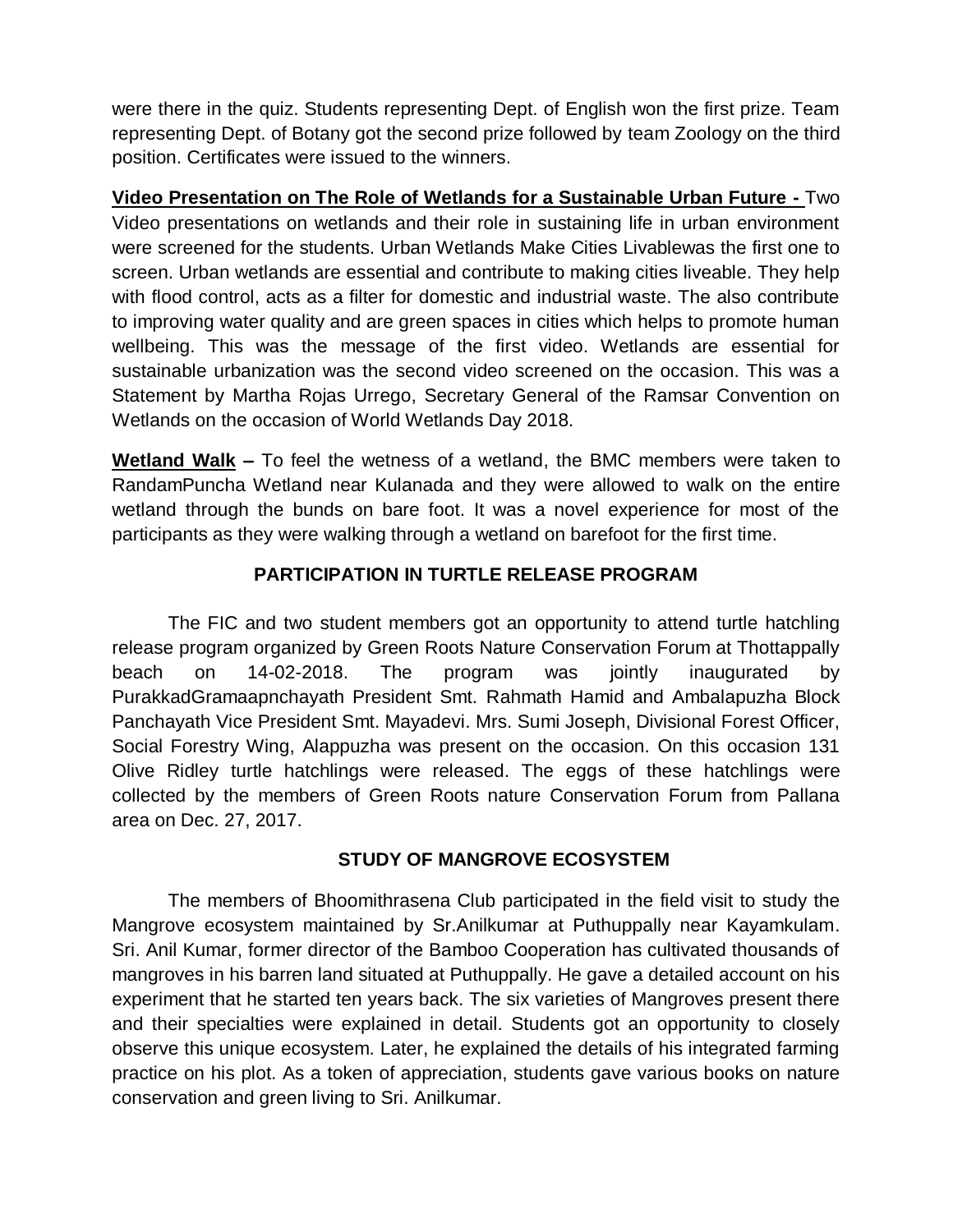were there in the quiz. Students representing Dept. of English won the first prize. Team representing Dept. of Botany got the second prize followed by team Zoology on the third position. Certificates were issued to the winners.

**Video Presentation on The Role of Wetlands for a Sustainable Urban Future -** Two Video presentations on wetlands and their role in sustaining life in urban environment were screened for the students. Urban Wetlands Make Cities Livablewas the first one to screen. Urban wetlands are essential and contribute to making cities liveable. They help with flood control, acts as a filter for domestic and industrial waste. The also contribute to improving water quality and are green spaces in cities which helps to promote human wellbeing. This was the message of the first video. Wetlands are essential for sustainable urbanization was the second video screened on the occasion. This was a Statement by Martha Rojas Urrego, Secretary General of the Ramsar Convention on Wetlands on the occasion of World Wetlands Day 2018.

**Wetland Walk –** To feel the wetness of a wetland, the BMC members were taken to RandamPuncha Wetland near Kulanada and they were allowed to walk on the entire wetland through the bunds on bare foot. It was a novel experience for most of the participants as they were walking through a wetland on barefoot for the first time.

### **PARTICIPATION IN TURTLE RELEASE PROGRAM**

The FIC and two student members got an opportunity to attend turtle hatchling release program organized by Green Roots Nature Conservation Forum at Thottappally beach on 14-02-2018. The program was jointly inaugurated by PurakkadGramaapnchayath President Smt. Rahmath Hamid and Ambalapuzha Block Panchayath Vice President Smt. Mayadevi. Mrs. Sumi Joseph, Divisional Forest Officer, Social Forestry Wing, Alappuzha was present on the occasion. On this occasion 131 Olive Ridley turtle hatchlings were released. The eggs of these hatchlings were collected by the members of Green Roots nature Conservation Forum from Pallana area on Dec. 27, 2017.

### **STUDY OF MANGROVE ECOSYSTEM**

The members of Bhoomithrasena Club participated in the field visit to study the Mangrove ecosystem maintained by Sr.Anilkumar at Puthuppally near Kayamkulam. Sri. Anil Kumar, former director of the Bamboo Cooperation has cultivated thousands of mangroves in his barren land situated at Puthuppally. He gave a detailed account on his experiment that he started ten years back. The six varieties of Mangroves present there and their specialties were explained in detail. Students got an opportunity to closely observe this unique ecosystem. Later, he explained the details of his integrated farming practice on his plot. As a token of appreciation, students gave various books on nature conservation and green living to Sri. Anilkumar.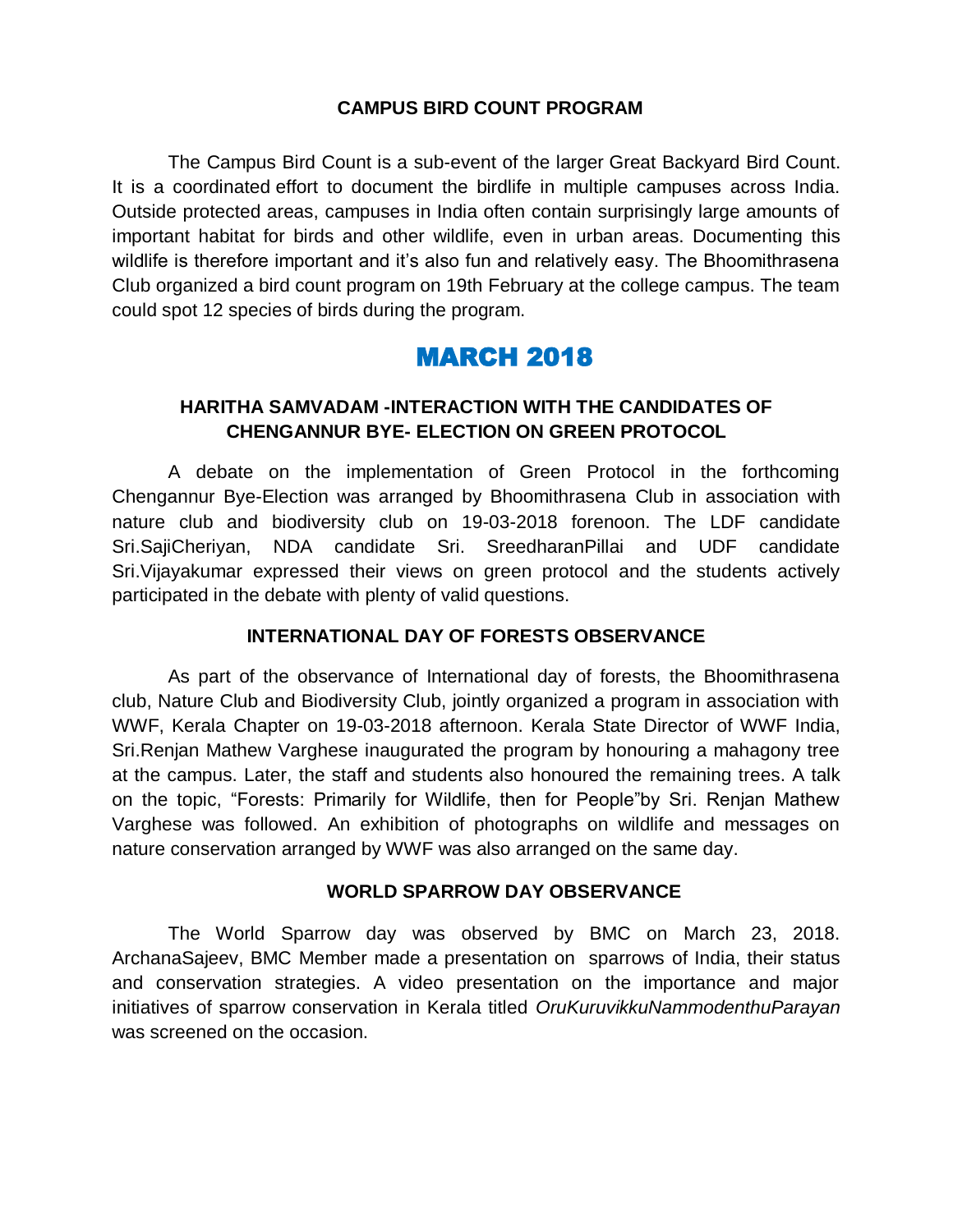#### **CAMPUS BIRD COUNT PROGRAM**

The Campus Bird Count is a sub-event of the larger [Great Backyard Bird Count.](https://birdcount.in/event/gbbc2018/) It is a coordinated effort to document the birdlife in multiple campuses across India. Outside protected areas, campuses in India often contain surprisingly large amounts of important habitat for birds and other wildlife, even in urban areas. Documenting this wildlife is therefore important and it's also fun and relatively easy. The Bhoomithrasena Club organized a bird count program on 19th February at the college campus. The team could spot 12 species of birds during the program.

### MARCH 2018

#### **HARITHA SAMVADAM -INTERACTION WITH THE CANDIDATES OF CHENGANNUR BYE- ELECTION ON GREEN PROTOCOL**

A debate on the implementation of Green Protocol in the forthcoming Chengannur Bye-Election was arranged by Bhoomithrasena Club in association with nature club and biodiversity club on 19-03-2018 forenoon. The LDF candidate Sri.SajiCheriyan, NDA candidate Sri. SreedharanPillai and UDF candidate Sri.Vijayakumar expressed their views on green protocol and the students actively participated in the debate with plenty of valid questions.

#### **INTERNATIONAL DAY OF FORESTS OBSERVANCE**

As part of the observance of International day of forests, the Bhoomithrasena club, Nature Club and Biodiversity Club, jointly organized a program in association with WWF, Kerala Chapter on 19-03-2018 afternoon. Kerala State Director of WWF India, Sri.Renjan Mathew Varghese inaugurated the program by honouring a mahagony tree at the campus. Later, the staff and students also honoured the remaining trees. A talk on the topic, "Forests: Primarily for Wildlife, then for People"by Sri. Renjan Mathew Varghese was followed. An exhibition of photographs on wildlife and messages on nature conservation arranged by WWF was also arranged on the same day.

#### **WORLD SPARROW DAY OBSERVANCE**

The World Sparrow day was observed by BMC on March 23, 2018. ArchanaSajeev, BMC Member made a presentation on sparrows of India, their status and conservation strategies. A video presentation on the importance and major initiatives of sparrow conservation in Kerala titled *OruKuruvikkuNammodenthuParayan* was screened on the occasion.